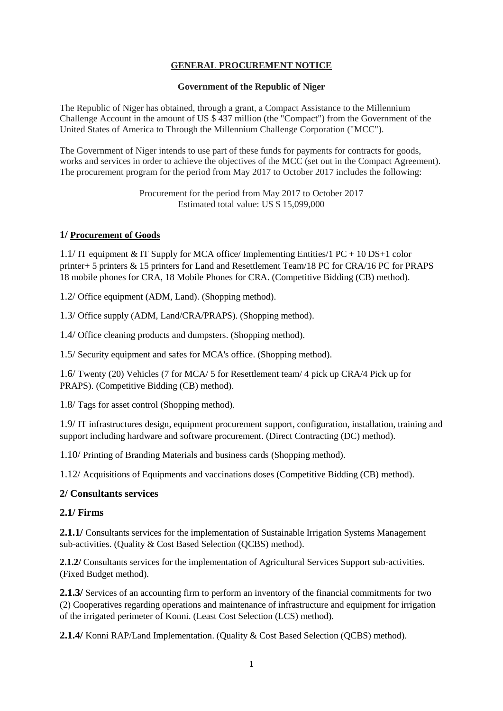# **GENERAL PROCUREMENT NOTICE**

#### **Government of the Republic of Niger**

The Republic of Niger has obtained, through a grant, a Compact Assistance to the Millennium Challenge Account in the amount of US \$ 437 million (the "Compact") from the Government of the United States of America to Through the Millennium Challenge Corporation ("MCC").

The Government of Niger intends to use part of these funds for payments for contracts for goods, works and services in order to achieve the objectives of the MCC (set out in the Compact Agreement). The procurement program for the period from May 2017 to October 2017 includes the following:

> Procurement for the period from May 2017 to October 2017 Estimated total value: US \$ 15,099,000

## **1/ Procurement of Goods**

1.1/ IT equipment & IT Supply for MCA office/ Implementing Entities/1 PC + 10 DS+1 color printer+ 5 printers & 15 printers for Land and Resettlement Team/18 PC for CRA/16 PC for PRAPS 18 mobile phones for CRA, 18 Mobile Phones for CRA. (Competitive Bidding (CB) method).

1.2/ Office equipment (ADM, Land). (Shopping method).

1.3/ Office supply (ADM, Land/CRA/PRAPS). (Shopping method).

1.4/ Office cleaning products and dumpsters. (Shopping method).

1.5/ Security equipment and safes for MCA's office. (Shopping method).

1.6/ Twenty (20) Vehicles (7 for MCA/ 5 for Resettlement team/ 4 pick up CRA/4 Pick up for PRAPS). (Competitive Bidding (CB) method).

1.8/ Tags for asset control (Shopping method).

1.9/ IT infrastructures design, equipment procurement support, configuration, installation, training and support including hardware and software procurement. (Direct Contracting (DC) method).

1.10/ Printing of Branding Materials and business cards (Shopping method).

1.12/ Acquisitions of Equipments and vaccinations doses (Competitive Bidding (CB) method).

## **2/ Consultants services**

#### **2.1/ Firms**

2.1.1/ Consultants services for the implementation of Sustainable Irrigation Systems Management sub-activities. (Quality & Cost Based Selection (QCBS) method).

**2.1.2/** Consultants services for the implementation of Agricultural Services Support sub-activities. (Fixed Budget method).

**2.1.3/** Services of an accounting firm to perform an inventory of the financial commitments for two (2) Cooperatives regarding operations and maintenance of infrastructure and equipment for irrigation of the irrigated perimeter of Konni. (Least Cost Selection (LCS) method).

**2.1.4/** Konni RAP/Land Implementation. (Quality & Cost Based Selection (QCBS) method).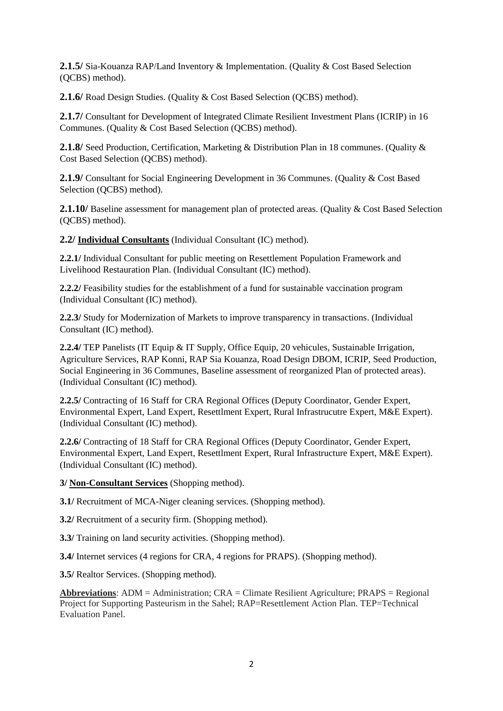**2.1.5/** Sia-Kouanza RAP/Land Inventory & Implementation. (Quality & Cost Based Selection (QCBS) method).

**2.1.6/** Road Design Studies. (Quality & Cost Based Selection (QCBS) method).

**2.1.7/** Consultant for Development of Integrated Climate Resilient Investment Plans (ICRIP) in 16 Communes. (Quality & Cost Based Selection (QCBS) method).

**2.1.8/** Seed Production, Certification, Marketing & Distribution Plan in 18 communes. (Quality & Cost Based Selection (QCBS) method).

2.1.9/ Consultant for Social Engineering Development in 36 Communes. (Quality & Cost Based Selection (QCBS) method).

**2.1.10/** Baseline assessment for management plan of protected areas. (Quality & Cost Based Selection (QCBS) method).

**2.2/ Individual Consultants** (Individual Consultant (IC) method).

**2.2.1/** Individual Consultant for public meeting on Resettlement Population Framework and Livelihood Restauration Plan. (Individual Consultant (IC) method).

**2.2.2/** Feasibility studies for the establishment of a fund for sustainable vaccination program (Individual Consultant (IC) method).

**2.2.3/** Study for Modernization of Markets to improve transparency in transactions. (Individual Consultant (IC) method).

**2.2.4/** TEP Panelists (IT Equip & IT Supply, Office Equip, 20 vehicules, Sustainable Irrigation, Agriculture Services, RAP Konni, RAP Sia Kouanza, Road Design DBOM, ICRIP, Seed Production, Social Engineering in 36 Communes, Baseline assessment of reorganized Plan of protected areas). (Individual Consultant (IC) method).

**2.2.5/** Contracting of 16 Staff for CRA Regional Offices (Deputy Coordinator, Gender Expert, Environmental Expert, Land Expert, Resettlment Expert, Rural Infrastrucutre Expert, M&E Expert). (Individual Consultant (IC) method).

**2.2.6/** Contracting of 18 Staff for CRA Regional Offices (Deputy Coordinator, Gender Expert, Environmental Expert, Land Expert, Resettlment Expert, Rural Infrastructure Expert, M&E Expert). (Individual Consultant (IC) method).

**3/ Non-Consultant Services** (Shopping method).

**3.1/ Recruitment of MCA-Niger cleaning services. (Shopping method).** 

**3.2/ Recruitment of a security firm. (Shopping method).** 

**3.3/** Training on land security activities. (Shopping method).

**3.4/** Internet services (4 regions for CRA, 4 regions for PRAPS). (Shopping method).

**3.5/** Realtor Services. (Shopping method).

**Abbreviations**: ADM = Administration; CRA = Climate Resilient Agriculture; PRAPS = Regional Project for Supporting Pasteurism in the Sahel; RAP=Resettlement Action Plan. TEP=Technical Evaluation Panel.